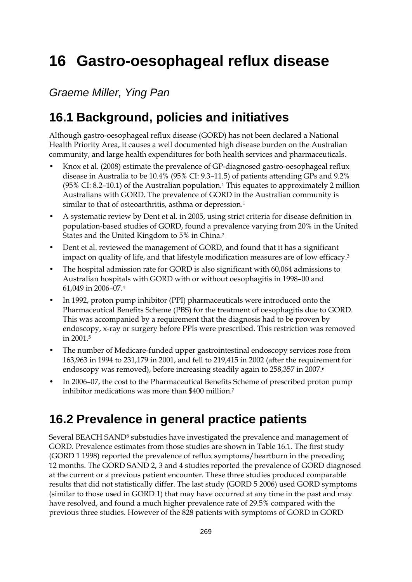# **16 Gastro-oesophageal reflux disease**

*Graeme Miller, Ying Pan* 

## **16.1 Background, policies and initiatives**

Although gastro-oesophageal reflux disease (GORD) has not been declared a National Health Priority Area, it causes a well documented high disease burden on the Australian community, and large health expenditures for both health services and pharmaceuticals.

- Knox et al. (2008) estimate the prevalence of GP-diagnosed gastro-oesophageal reflux disease in Australia to be 10.4% (95% CI: 9.3–11.5) of patients attending GPs and 9.2%  $(95\% \text{ CI: } 8.2{\text{-}}10.1)$  of the Australian population.<sup>1</sup> This equates to approximately 2 million Australians with GORD. The prevalence of GORD in the Australian community is similar to that of osteoarthritis, asthma or depression.<sup>1</sup>
- A systematic review by Dent et al. in 2005, using strict criteria for disease definition in population-based studies of GORD, found a prevalence varying from 20% in the United States and the United Kingdom to 5% in China.2
- Dent et al. reviewed the management of GORD, and found that it has a significant impact on quality of life, and that lifestyle modification measures are of low efficacy.3
- The hospital admission rate for GORD is also significant with 60,064 admissions to Australian hospitals with GORD with or without oesophagitis in 1998–00 and 61,049 in 2006–07.4
- In 1992, proton pump inhibitor (PPI) pharmaceuticals were introduced onto the Pharmaceutical Benefits Scheme (PBS) for the treatment of oesophagitis due to GORD. This was accompanied by a requirement that the diagnosis had to be proven by endoscopy, x-ray or surgery before PPIs were prescribed. This restriction was removed in 2001.5
- The number of Medicare-funded upper gastrointestinal endoscopy services rose from 163,963 in 1994 to 231,179 in 2001, and fell to 219,415 in 2002 (after the requirement for endoscopy was removed), before increasing steadily again to 258,357 in 2007.6
- In 2006–07, the cost to the Pharmaceutical Benefits Scheme of prescribed proton pump inhibitor medications was more than \$400 million.7

### **16.2 Prevalence in general practice patients**

Several BEACH SAND8 substudies have investigated the prevalence and management of GORD. Prevalence estimates from those studies are shown in Table 16.1. The first study (GORD 1 1998) reported the prevalence of reflux symptoms/heartburn in the preceding 12 months. The GORD SAND 2, 3 and 4 studies reported the prevalence of GORD diagnosed at the current or a previous patient encounter. These three studies produced comparable results that did not statistically differ. The last study (GORD 5 2006) used GORD symptoms (similar to those used in GORD 1) that may have occurred at any time in the past and may have resolved, and found a much higher prevalence rate of 29.5% compared with the previous three studies. However of the 828 patients with symptoms of GORD in GORD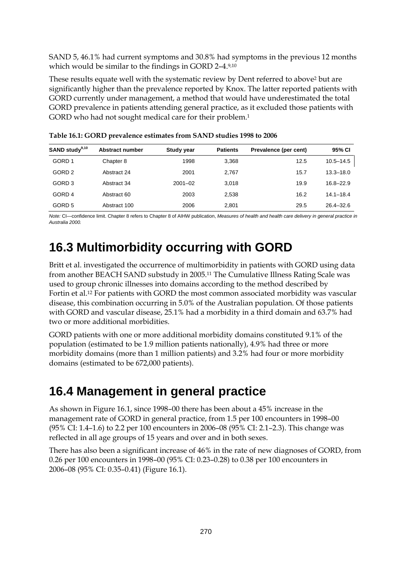SAND 5, 46.1% had current symptoms and 30.8% had symptoms in the previous 12 months which would be similar to the findings in GORD 2–4.9,10

These results equate well with the systematic review by Dent referred to above<sup>2</sup> but are significantly higher than the prevalence reported by Knox. The latter reported patients with GORD currently under management, a method that would have underestimated the total GORD prevalence in patients attending general practice, as it excluded those patients with GORD who had not sought medical care for their problem.<sup>1</sup>

| SAND study <sup>9,10</sup> | Abstract number | <b>Study year</b> | <b>Patients</b> | Prevalence (per cent) | 95% CI        |
|----------------------------|-----------------|-------------------|-----------------|-----------------------|---------------|
| GORD 1                     | Chapter 8       | 1998              | 3.368           | 12.5                  | $10.5 - 14.5$ |
| GORD <sub>2</sub>          | Abstract 24     | 2001              | 2,767           | 15.7                  | $13.3 - 18.0$ |
| GORD 3                     | Abstract 34     | $2001 - 02$       | 3.018           | 19.9                  | $16.8 - 22.9$ |
| GORD 4                     | Abstract 60     | 2003              | 2,538           | 16.2                  | $14.1 - 18.4$ |
| GORD 5                     | Abstract 100    | 2006              | 2,801           | 29.5                  | $26.4 - 32.6$ |

**Table 16.1: GORD prevalence estimates from SAND studies 1998 to 2006** 

*Note:* CI—confidence limit. Chapter 8 refers to Chapter 8 of AIHW publication, *Measures of health and health care delivery in general practice in Australia 2000.* 

## **16.3 Multimorbidity occurring with GORD**

Britt et al. investigated the occurrence of multimorbidity in patients with GORD using data from another BEACH SAND substudy in 2005.11 The Cumulative Illness Rating Scale was used to group chronic illnesses into domains according to the method described by Fortin et al.12 For patients with GORD the most common associated morbidity was vascular disease, this combination occurring in 5.0% of the Australian population. Of those patients with GORD and vascular disease, 25.1% had a morbidity in a third domain and 63.7% had two or more additional morbidities.

GORD patients with one or more additional morbidity domains constituted 9.1% of the population (estimated to be 1.9 million patients nationally), 4.9% had three or more morbidity domains (more than 1 million patients) and 3.2% had four or more morbidity domains (estimated to be 672,000 patients).

### **16.4 Management in general practice**

As shown in Figure 16.1, since 1998–00 there has been about a 45% increase in the management rate of GORD in general practice, from 1.5 per 100 encounters in 1998–00 (95% CI: 1.4–1.6) to 2.2 per 100 encounters in 2006–08 (95% CI: 2.1–2.3). This change was reflected in all age groups of 15 years and over and in both sexes.

There has also been a significant increase of 46% in the rate of new diagnoses of GORD, from 0.26 per 100 encounters in 1998–00 (95% CI: 0.23–0.28) to 0.38 per 100 encounters in 2006–08 (95% CI: 0.35–0.41) (Figure 16.1).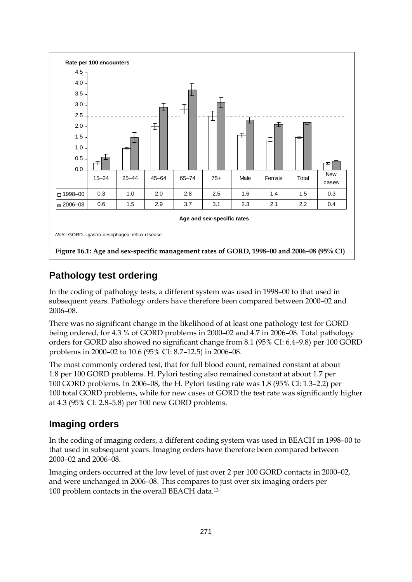

### **Pathology test ordering**

In the coding of pathology tests, a different system was used in 1998–00 to that used in subsequent years. Pathology orders have therefore been compared between 2000–02 and 2006–08.

There was no significant change in the likelihood of at least one pathology test for GORD being ordered, for 4.3 % of GORD problems in 2000–02 and 4.7 in 2006–08. Total pathology orders for GORD also showed no significant change from 8.1 (95% CI: 6.4–9.8) per 100 GORD problems in 2000–02 to 10.6 (95% CI: 8.7–12.5) in 2006–08.

The most commonly ordered test, that for full blood count, remained constant at about 1.8 per 100 GORD problems. H. Pylori testing also remained constant at about 1.7 per 100 GORD problems. In 2006–08, the H. Pylori testing rate was 1.8 (95% CI: 1.3–2.2) per 100 total GORD problems, while for new cases of GORD the test rate was significantly higher at 4.3 (95% CI: 2.8–5.8) per 100 new GORD problems.

### **Imaging orders**

In the coding of imaging orders, a different coding system was used in BEACH in 1998–00 to that used in subsequent years. Imaging orders have therefore been compared between 2000–02 and 2006–08.

Imaging orders occurred at the low level of just over 2 per 100 GORD contacts in 2000–02, and were unchanged in 2006–08. This compares to just over six imaging orders per 100 problem contacts in the overall BEACH data.13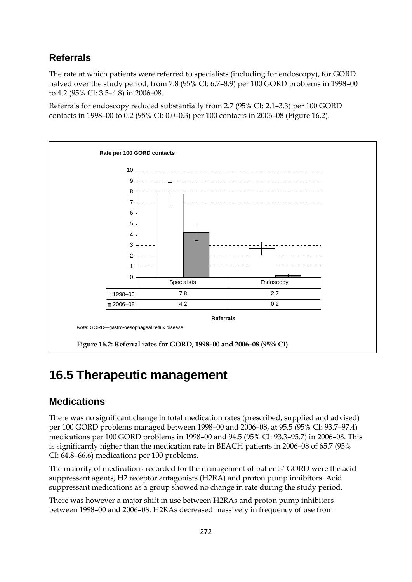### **Referrals**

The rate at which patients were referred to specialists (including for endoscopy), for GORD halved over the study period, from 7.8 (95% CI: 6.7–8.9) per 100 GORD problems in 1998–00 to 4.2 (95% CI: 3.5–4.8) in 2006–08.

Referrals for endoscopy reduced substantially from 2.7 (95% CI: 2.1–3.3) per 100 GORD contacts in 1998–00 to 0.2 (95% CI: 0.0–0.3) per 100 contacts in 2006–08 (Figure 16.2).



### **16.5 Therapeutic management**

### **Medications**

There was no significant change in total medication rates (prescribed, supplied and advised) per 100 GORD problems managed between 1998–00 and 2006–08, at 95.5 (95% CI: 93.7–97.4) medications per 100 GORD problems in 1998–00 and 94.5 (95% CI: 93.3–95.7) in 2006–08. This is significantly higher than the medication rate in BEACH patients in 2006–08 of 65.7 (95% CI: 64.8–66.6) medications per 100 problems.

The majority of medications recorded for the management of patients' GORD were the acid suppressant agents, H2 receptor antagonists (H2RA) and proton pump inhibitors. Acid suppressant medications as a group showed no change in rate during the study period.

There was however a major shift in use between H2RAs and proton pump inhibitors between 1998–00 and 2006–08. H2RAs decreased massively in frequency of use from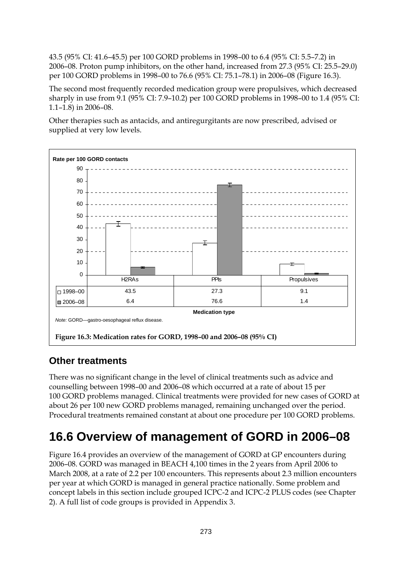43.5 (95% CI: 41.6–45.5) per 100 GORD problems in 1998–00 to 6.4 (95% CI: 5.5–7.2) in 2006–08. Proton pump inhibitors, on the other hand, increased from 27.3 (95% CI: 25.5–29.0) per 100 GORD problems in 1998–00 to 76.6 (95% CI: 75.1–78.1) in 2006–08 (Figure 16.3).

The second most frequently recorded medication group were propulsives, which decreased sharply in use from 9.1 (95% CI: 7.9–10.2) per 100 GORD problems in 1998–00 to 1.4 (95% CI: 1.1–1.8) in 2006–08.

Other therapies such as antacids, and antiregurgitants are now prescribed, advised or supplied at very low levels.



### **Other treatments**

There was no significant change in the level of clinical treatments such as advice and counselling between 1998–00 and 2006–08 which occurred at a rate of about 15 per 100 GORD problems managed. Clinical treatments were provided for new cases of GORD at about 26 per 100 new GORD problems managed, remaining unchanged over the period. Procedural treatments remained constant at about one procedure per 100 GORD problems.

## **16.6 Overview of management of GORD in 2006–08**

Figure 16.4 provides an overview of the management of GORD at GP encounters during 2006–08. GORD was managed in BEACH 4,100 times in the 2 years from April 2006 to March 2008, at a rate of 2.2 per 100 encounters. This represents about 2.3 million encounters per year at which GORD is managed in general practice nationally. Some problem and concept labels in this section include grouped ICPC-2 and ICPC-2 PLUS codes (see Chapter 2). A full list of code groups is provided in Appendix 3.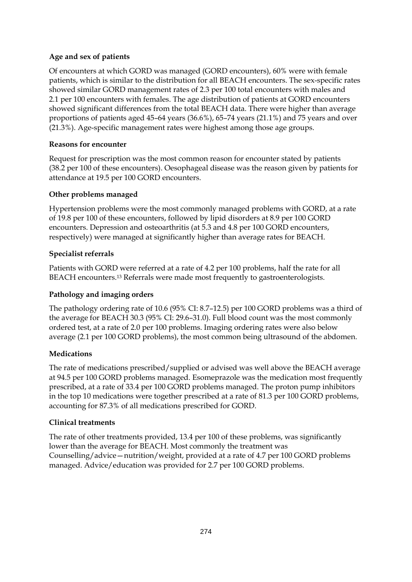#### **Age and sex of patients**

Of encounters at which GORD was managed (GORD encounters), 60% were with female patients, which is similar to the distribution for all BEACH encounters. The sex-specific rates showed similar GORD management rates of 2.3 per 100 total encounters with males and 2.1 per 100 encounters with females. The age distribution of patients at GORD encounters showed significant differences from the total BEACH data. There were higher than average proportions of patients aged 45–64 years (36.6%), 65–74 years (21.1%) and 75 years and over (21.3%). Age-specific management rates were highest among those age groups.

#### **Reasons for encounter**

Request for prescription was the most common reason for encounter stated by patients (38.2 per 100 of these encounters). Oesophageal disease was the reason given by patients for attendance at 19.5 per 100 GORD encounters.

#### **Other problems managed**

Hypertension problems were the most commonly managed problems with GORD, at a rate of 19.8 per 100 of these encounters, followed by lipid disorders at 8.9 per 100 GORD encounters. Depression and osteoarthritis (at 5.3 and 4.8 per 100 GORD encounters, respectively) were managed at significantly higher than average rates for BEACH.

#### **Specialist referrals**

Patients with GORD were referred at a rate of 4.2 per 100 problems, half the rate for all BEACH encounters.13 Referrals were made most frequently to gastroenterologists.

#### **Pathology and imaging orders**

The pathology ordering rate of 10.6 (95% CI: 8.7–12.5) per 100 GORD problems was a third of the average for BEACH 30.3 (95% CI: 29.6–31.0). Full blood count was the most commonly ordered test, at a rate of 2.0 per 100 problems. Imaging ordering rates were also below average (2.1 per 100 GORD problems), the most common being ultrasound of the abdomen.

#### **Medications**

The rate of medications prescribed/supplied or advised was well above the BEACH average at 94.5 per 100 GORD problems managed. Esomeprazole was the medication most frequently prescribed, at a rate of 33.4 per 100 GORD problems managed. The proton pump inhibitors in the top 10 medications were together prescribed at a rate of 81.3 per 100 GORD problems, accounting for 87.3% of all medications prescribed for GORD.

#### **Clinical treatments**

The rate of other treatments provided, 13.4 per 100 of these problems, was significantly lower than the average for BEACH. Most commonly the treatment was Counselling/advice—nutrition/weight, provided at a rate of 4.7 per 100 GORD problems managed. Advice/education was provided for 2.7 per 100 GORD problems.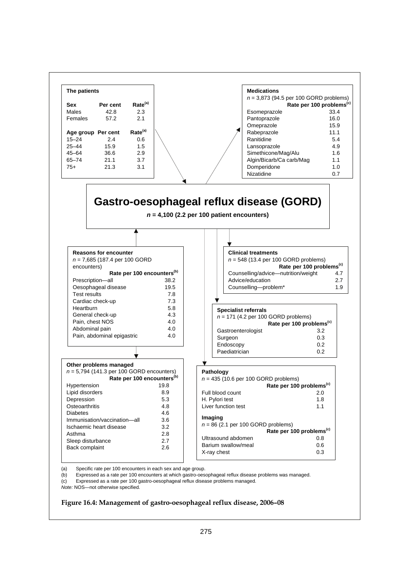

(b) Expressed as a rate per 100 encounters at which gastro-oesophageal reflux disease problems was managed.

(c) Expressed as a rate per 100 gastro-oesophageal reflux disease problems managed.

*Note:* NOS—not otherwise specified.

#### **Figure 16.4: Management of gastro-oesophageal reflux disease, 2006–08**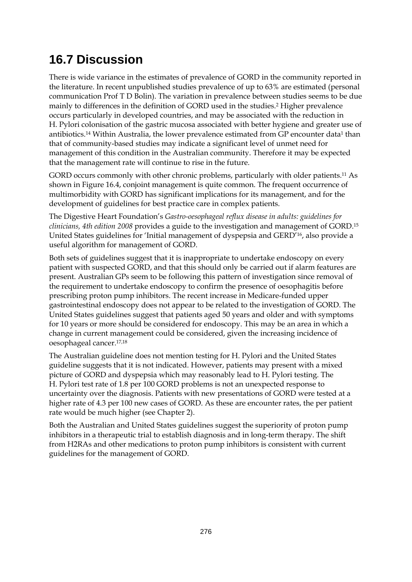## **16.7 Discussion**

There is wide variance in the estimates of prevalence of GORD in the community reported in the literature. In recent unpublished studies prevalence of up to 63% are estimated (personal communication Prof T D Bolin). The variation in prevalence between studies seems to be due mainly to differences in the definition of GORD used in the studies.2 Higher prevalence occurs particularly in developed countries, and may be associated with the reduction in H. Pylori colonisation of the gastric mucosa associated with better hygiene and greater use of antibiotics.<sup>14</sup> Within Australia, the lower prevalence estimated from GP encounter data<sup>1</sup> than that of community-based studies may indicate a significant level of unmet need for management of this condition in the Australian community. Therefore it may be expected that the management rate will continue to rise in the future.

GORD occurs commonly with other chronic problems, particularly with older patients.11 As shown in Figure 16.4, conjoint management is quite common. The frequent occurrence of multimorbidity with GORD has significant implications for its management, and for the development of guidelines for best practice care in complex patients.

The Digestive Heart Foundation's *Gastro-oesophageal reflux disease in adults: guidelines for clinicians, 4th edition 2008* provides a guide to the investigation and management of GORD.15 United States guidelines for 'Initial management of dyspepsia and GERD'16, also provide a useful algorithm for management of GORD.

Both sets of guidelines suggest that it is inappropriate to undertake endoscopy on every patient with suspected GORD, and that this should only be carried out if alarm features are present. Australian GPs seem to be following this pattern of investigation since removal of the requirement to undertake endoscopy to confirm the presence of oesophagitis before prescribing proton pump inhibitors. The recent increase in Medicare-funded upper gastrointestinal endoscopy does not appear to be related to the investigation of GORD. The United States guidelines suggest that patients aged 50 years and older and with symptoms for 10 years or more should be considered for endoscopy. This may be an area in which a change in current management could be considered, given the increasing incidence of oesophageal cancer.17,18

The Australian guideline does not mention testing for H. Pylori and the United States guideline suggests that it is not indicated. However, patients may present with a mixed picture of GORD and dyspepsia which may reasonably lead to H. Pylori testing. The H. Pylori test rate of 1.8 per 100 GORD problems is not an unexpected response to uncertainty over the diagnosis. Patients with new presentations of GORD were tested at a higher rate of 4.3 per 100 new cases of GORD. As these are encounter rates, the per patient rate would be much higher (see Chapter 2).

Both the Australian and United States guidelines suggest the superiority of proton pump inhibitors in a therapeutic trial to establish diagnosis and in long-term therapy. The shift from H2RAs and other medications to proton pump inhibitors is consistent with current guidelines for the management of GORD.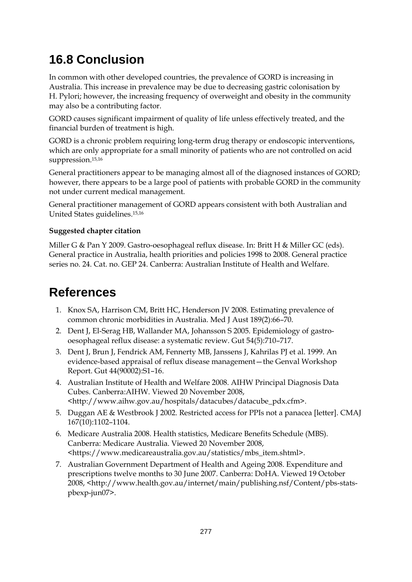## **16.8 Conclusion**

In common with other developed countries, the prevalence of GORD is increasing in Australia. This increase in prevalence may be due to decreasing gastric colonisation by H. Pylori; however, the increasing frequency of overweight and obesity in the community may also be a contributing factor.

GORD causes significant impairment of quality of life unless effectively treated, and the financial burden of treatment is high.

GORD is a chronic problem requiring long-term drug therapy or endoscopic interventions, which are only appropriate for a small minority of patients who are not controlled on acid suppression.15,16

General practitioners appear to be managing almost all of the diagnosed instances of GORD; however, there appears to be a large pool of patients with probable GORD in the community not under current medical management.

General practitioner management of GORD appears consistent with both Australian and United States guidelines.15,16

#### **Suggested chapter citation**

Miller G & Pan Y 2009. Gastro-oesophageal reflux disease. In: Britt H & Miller GC (eds). General practice in Australia, health priorities and policies 1998 to 2008. General practice series no. 24. Cat. no. GEP 24. Canberra: Australian Institute of Health and Welfare.

### **References**

- 1. Knox SA, Harrison CM, Britt HC, Henderson JV 2008. Estimating prevalence of common chronic morbidities in Australia. Med J Aust 189(2):66–70.
- 2. Dent J, El-Serag HB, Wallander MA, Johansson S 2005. Epidemiology of gastrooesophageal reflux disease: a systematic review. Gut 54(5):710–717.
- 3. Dent J, Brun J, Fendrick AM, Fennerty MB, Janssens J, Kahrilas PJ et al. 1999. An evidence-based appraisal of reflux disease management—the Genval Workshop Report. Gut 44(90002):S1–16.
- 4. Australian Institute of Health and Welfare 2008. AIHW Principal Diagnosis Data Cubes. Canberra:AIHW. Viewed 20 November 2008, <http://www.aihw.gov.au/hospitals/datacubes/datacube\_pdx.cfm>.
- 5. Duggan AE & Westbrook J 2002. Restricted access for PPIs not a panacea [letter]. CMAJ 167(10):1102–1104.
- 6. Medicare Australia 2008. Health statistics, Medicare Benefits Schedule (MBS). Canberra: Medicare Australia. Viewed 20 November 2008, <https://www.medicareaustralia.gov.au/statistics/mbs\_item.shtml>.
- 7. Australian Government Department of Health and Ageing 2008. Expenditure and prescriptions twelve months to 30 June 2007. Canberra: DoHA. Viewed 19 October 2008, <http://www.health.gov.au/internet/main/publishing.nsf/Content/pbs-statspbexp-jun07>.